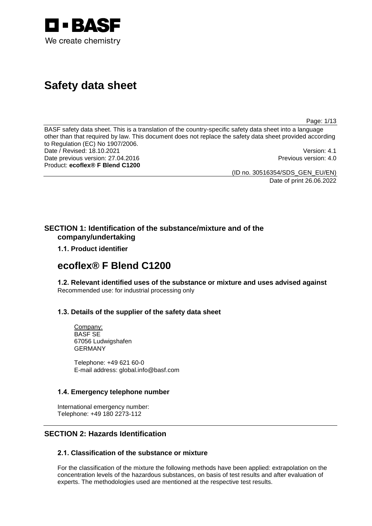

# **Safety data sheet**

Page: 1/13

BASF safety data sheet. This is a translation of the country-specific safety data sheet into a language other than that required by law. This document does not replace the safety data sheet provided according to Regulation (EC) No 1907/2006. Date / Revised: 18.10.2021<br>
Date previous version: 27.04.2016<br>
Date previous version: 27.04.2016 Date previous version: 27.04.2016 Product: **ecoflex® F Blend C1200**

(ID no. 30516354/SDS\_GEN\_EU/EN)

Date of print 26.06.2022

## **SECTION 1: Identification of the substance/mixture and of the company/undertaking**

**1.1. Product identifier**

## **ecoflex® F Blend C1200**

**1.2. Relevant identified uses of the substance or mixture and uses advised against** Recommended use: for industrial processing only

## **1.3. Details of the supplier of the safety data sheet**

Company: BASF SE 67056 Ludwigshafen GERMANY

Telephone: +49 621 60-0 E-mail address: global.info@basf.com

## **1.4. Emergency telephone number**

International emergency number: Telephone: +49 180 2273-112

## **SECTION 2: Hazards Identification**

## **2.1. Classification of the substance or mixture**

For the classification of the mixture the following methods have been applied: extrapolation on the concentration levels of the hazardous substances, on basis of test results and after evaluation of experts. The methodologies used are mentioned at the respective test results.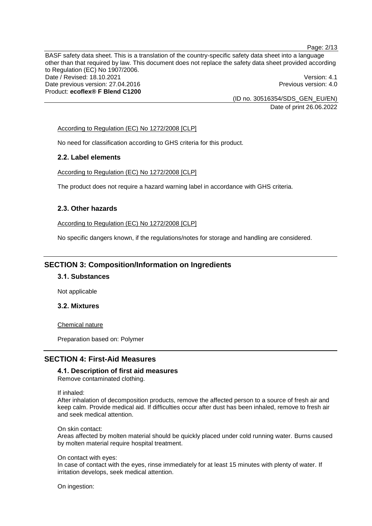Page: 2/13

BASF safety data sheet. This is a translation of the country-specific safety data sheet into a language other than that required by law. This document does not replace the safety data sheet provided according to Regulation (EC) No 1907/2006. Date / Revised: 18.10.2021 **Version: 4.1** Date previous version: 27.04.2016 **Previous version: 4.0** Previous version: 4.0 Product: **ecoflex® F Blend C1200**

(ID no. 30516354/SDS\_GEN\_EU/EN) Date of print 26.06.2022

#### According to Regulation (EC) No 1272/2008 [CLP]

No need for classification according to GHS criteria for this product.

#### **2.2. Label elements**

According to Regulation (EC) No 1272/2008 [CLP]

The product does not require a hazard warning label in accordance with GHS criteria.

### **2.3. Other hazards**

According to Regulation (EC) No 1272/2008 [CLP]

No specific dangers known, if the regulations/notes for storage and handling are considered.

## **SECTION 3: Composition/Information on Ingredients**

## **3.1. Substances**

Not applicable

## **3.2. Mixtures**

Chemical nature

Preparation based on: Polymer

## **SECTION 4: First-Aid Measures**

**4.1. Description of first aid measures** Remove contaminated clothing.

If inhaled:

After inhalation of decomposition products, remove the affected person to a source of fresh air and keep calm. Provide medical aid. If difficulties occur after dust has been inhaled, remove to fresh air and seek medical attention.

On skin contact:

Areas affected by molten material should be quickly placed under cold running water. Burns caused by molten material require hospital treatment.

On contact with eyes:

In case of contact with the eyes, rinse immediately for at least 15 minutes with plenty of water. If irritation develops, seek medical attention.

On ingestion: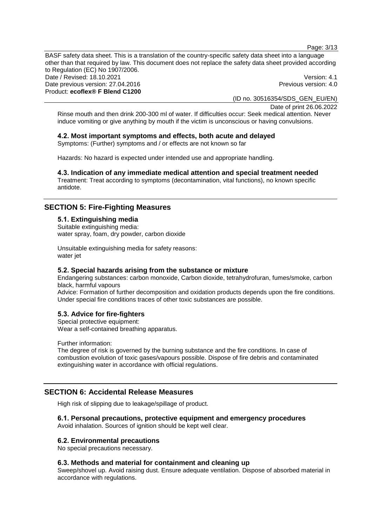Page: 3/13

BASF safety data sheet. This is a translation of the country-specific safety data sheet into a language other than that required by law. This document does not replace the safety data sheet provided according to Regulation (EC) No 1907/2006. Date / Revised: 18.10.2021 **Version: 4.1** Date previous version: 27.04.2016 **Previous version: 4.0** Previous version: 4.0 Product: **ecoflex® F Blend C1200**

(ID no. 30516354/SDS\_GEN\_EU/EN)

Date of print 26.06.2022 Rinse mouth and then drink 200-300 ml of water. If difficulties occur: Seek medical attention. Never induce vomiting or give anything by mouth if the victim is unconscious or having convulsions.

## **4.2. Most important symptoms and effects, both acute and delayed**

Symptoms: (Further) symptoms and / or effects are not known so far

Hazards: No hazard is expected under intended use and appropriate handling.

## **4.3. Indication of any immediate medical attention and special treatment needed**

Treatment: Treat according to symptoms (decontamination, vital functions), no known specific antidote.

## **SECTION 5: Fire-Fighting Measures**

#### **5.1. Extinguishing media** Suitable extinguishing media: water spray, foam, dry powder, carbon dioxide

Unsuitable extinguishing media for safety reasons: water jet

## **5.2. Special hazards arising from the substance or mixture**

Endangering substances: carbon monoxide, Carbon dioxide, tetrahydrofuran, fumes/smoke, carbon black, harmful vapours

Advice: Formation of further decomposition and oxidation products depends upon the fire conditions. Under special fire conditions traces of other toxic substances are possible.

## **5.3. Advice for fire-fighters**

Special protective equipment: Wear a self-contained breathing apparatus.

Further information:

The degree of risk is governed by the burning substance and the fire conditions. In case of combustion evolution of toxic gases/vapours possible. Dispose of fire debris and contaminated extinguishing water in accordance with official regulations.

## **SECTION 6: Accidental Release Measures**

High risk of slipping due to leakage/spillage of product.

## **6.1. Personal precautions, protective equipment and emergency procedures**

Avoid inhalation. Sources of ignition should be kept well clear.

#### **6.2. Environmental precautions**

No special precautions necessary.

#### **6.3. Methods and material for containment and cleaning up**

Sweep/shovel up. Avoid raising dust. Ensure adequate ventilation. Dispose of absorbed material in accordance with regulations.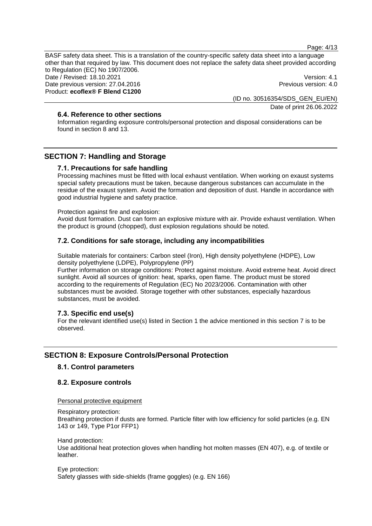Page: 4/13

BASF safety data sheet. This is a translation of the country-specific safety data sheet into a language other than that required by law. This document does not replace the safety data sheet provided according to Regulation (EC) No 1907/2006. Date / Revised: 18.10.2021 **Version: 4.1** Date previous version: 27.04.2016 **Previous version: 4.0** Previous version: 4.0

Product: **ecoflex® F Blend C1200**

(ID no. 30516354/SDS\_GEN\_EU/EN) Date of print 26.06.2022

## **6.4. Reference to other sections**

Information regarding exposure controls/personal protection and disposal considerations can be found in section 8 and 13.

## **SECTION 7: Handling and Storage**

#### **7.1. Precautions for safe handling**

Processing machines must be fitted with local exhaust ventilation. When working on exaust systems special safety precautions must be taken, because dangerous substances can accumulate in the residue of the exaust system. Avoid the formation and deposition of dust. Handle in accordance with good industrial hygiene and safety practice.

Protection against fire and explosion:

Avoid dust formation. Dust can form an explosive mixture with air. Provide exhaust ventilation. When the product is ground (chopped), dust explosion regulations should be noted.

#### **7.2. Conditions for safe storage, including any incompatibilities**

Suitable materials for containers: Carbon steel (Iron), High density polyethylene (HDPE), Low density polyethylene (LDPE), Polypropylene (PP)

Further information on storage conditions: Protect against moisture. Avoid extreme heat. Avoid direct sunlight. Avoid all sources of ignition: heat, sparks, open flame. The product must be stored according to the requirements of Regulation (EC) No 2023/2006. Contamination with other substances must be avoided. Storage together with other substances, especially hazardous substances, must be avoided.

#### **7.3. Specific end use(s)**

For the relevant identified use(s) listed in Section 1 the advice mentioned in this section 7 is to be observed.

## **SECTION 8: Exposure Controls/Personal Protection**

#### **8.1. Control parameters**

#### **8.2. Exposure controls**

Personal protective equipment

Respiratory protection:

Breathing protection if dusts are formed. Particle filter with low efficiency for solid particles (e.g. EN 143 or 149, Type P1or FFP1)

Hand protection:

Use additional heat protection gloves when handling hot molten masses (EN 407), e.g. of textile or leather.

Eye protection: Safety glasses with side-shields (frame goggles) (e.g. EN 166)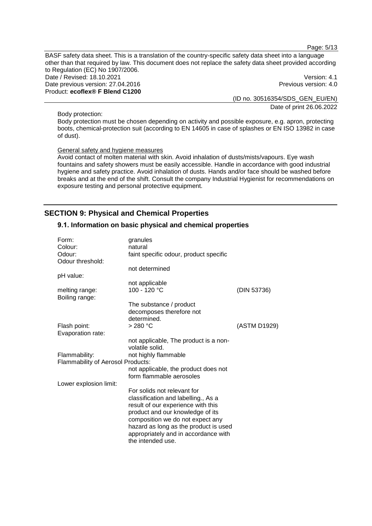Page: 5/13

BASF safety data sheet. This is a translation of the country-specific safety data sheet into a language other than that required by law. This document does not replace the safety data sheet provided according to Regulation (EC) No 1907/2006. Date / Revised: 18.10.2021 **Version: 4.1** Date previous version: 27.04.2016 **Previous version: 4.0** Previous version: 4.0 Product: **ecoflex® F Blend C1200**

(ID no. 30516354/SDS\_GEN\_EU/EN) Date of print 26.06.2022

Body protection:

Body protection must be chosen depending on activity and possible exposure, e.g. apron, protecting boots, chemical-protection suit (according to EN 14605 in case of splashes or EN ISO 13982 in case of dust).

#### General safety and hygiene measures

Avoid contact of molten material with skin. Avoid inhalation of dusts/mists/vapours. Eye wash fountains and safety showers must be easily accessible. Handle in accordance with good industrial hygiene and safety practice. Avoid inhalation of dusts. Hands and/or face should be washed before breaks and at the end of the shift. Consult the company Industrial Hygienist for recommendations on exposure testing and personal protective equipment.

## **SECTION 9: Physical and Chemical Properties**

#### **9.1. Information on basic physical and chemical properties**

| Form:                             | granules                                                  |              |
|-----------------------------------|-----------------------------------------------------------|--------------|
| Colour:                           | natural                                                   |              |
| Odour:                            | faint specific odour, product specific                    |              |
| Odour threshold:                  |                                                           |              |
|                                   | not determined                                            |              |
| pH value:                         |                                                           |              |
|                                   | not applicable                                            |              |
| melting range:<br>Boiling range:  | 100 - 120 °C                                              | (DIN 53736)  |
|                                   | The substance / product                                   |              |
|                                   | decomposes therefore not                                  |              |
|                                   | determined.                                               |              |
| Flash point:                      | >280 °C                                                   | (ASTM D1929) |
| Evaporation rate:                 |                                                           |              |
|                                   | not applicable, The product is a non-                     |              |
|                                   | volatile solid.                                           |              |
| Flammability:                     | not highly flammable                                      |              |
| Flammability of Aerosol Products: |                                                           |              |
|                                   | not applicable, the product does not                      |              |
|                                   | form flammable aerosoles                                  |              |
| Lower explosion limit:            |                                                           |              |
|                                   | For solids not relevant for                               |              |
|                                   | classification and labelling., As a                       |              |
|                                   | result of our experience with this                        |              |
|                                   | product and our knowledge of its                          |              |
|                                   | composition we do not expect any                          |              |
|                                   | hazard as long as the product is used                     |              |
|                                   | appropriately and in accordance with<br>the intended use. |              |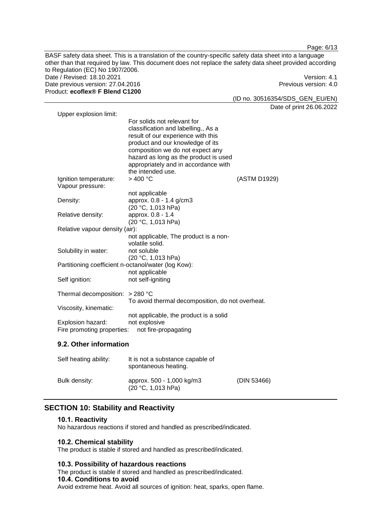BASF safety data sheet. This is a translation of the country-specific safety data sheet into a language other than that required by law. This document does not replace the safety data sheet provided according to Regulation (EC) No 1907/2006. Date / Revised: 18.10.2021 Version: 4.1 Date previous version: 27.04.2016 **Previous version: 4.0** Previous version: 4.0 Product: **ecoflex® F Blend C1200**

(ID no. 30516354/SDS\_GEN\_EU/EN)

Date of print 26.06.2022

| Upper explosion limit:                              |                                                                                                                                                                                                                                                                                        |              |
|-----------------------------------------------------|----------------------------------------------------------------------------------------------------------------------------------------------------------------------------------------------------------------------------------------------------------------------------------------|--------------|
|                                                     | For solids not relevant for<br>classification and labelling., As a<br>result of our experience with this<br>product and our knowledge of its<br>composition we do not expect any<br>hazard as long as the product is used<br>appropriately and in accordance with<br>the intended use. |              |
| Ignition temperature:<br>Vapour pressure:           | >400 °C                                                                                                                                                                                                                                                                                | (ASTM D1929) |
| Density:                                            | not applicable<br>approx. 0.8 - 1.4 g/cm3<br>(20 °C, 1,013 hPa)                                                                                                                                                                                                                        |              |
| Relative density:                                   | approx. 0.8 - 1.4<br>(20 °C, 1,013 hPa)                                                                                                                                                                                                                                                |              |
| Relative vapour density (air):                      | not applicable, The product is a non-<br>volatile solid.                                                                                                                                                                                                                               |              |
| Solubility in water:                                | not soluble<br>(20 °C, 1,013 hPa)                                                                                                                                                                                                                                                      |              |
| Partitioning coefficient n-octanol/water (log Kow): | not applicable                                                                                                                                                                                                                                                                         |              |
| Self ignition:                                      | not self-igniting                                                                                                                                                                                                                                                                      |              |
| Thermal decomposition: $>$ 280 °C                   | To avoid thermal decomposition, do not overheat.                                                                                                                                                                                                                                       |              |
| Viscosity, kinematic:                               | not applicable, the product is a solid                                                                                                                                                                                                                                                 |              |
| Explosion hazard:<br>Fire promoting properties:     | not explosive<br>not fire-propagating                                                                                                                                                                                                                                                  |              |

## **9.2. Other information**

| Self heating ability: | It is not a substance capable of<br>spontaneous heating. |             |
|-----------------------|----------------------------------------------------------|-------------|
| Bulk density:         | approx. 500 - 1,000 kg/m3<br>(20 °C, 1,013 hPa)          | (DIN 53466) |

## **SECTION 10: Stability and Reactivity**

## **10.1. Reactivity**

No hazardous reactions if stored and handled as prescribed/indicated.

## **10.2. Chemical stability**

The product is stable if stored and handled as prescribed/indicated.

## **10.3. Possibility of hazardous reactions**

The product is stable if stored and handled as prescribed/indicated.

#### **10.4. Conditions to avoid**

Avoid extreme heat. Avoid all sources of ignition: heat, sparks, open flame.

Page: 6/13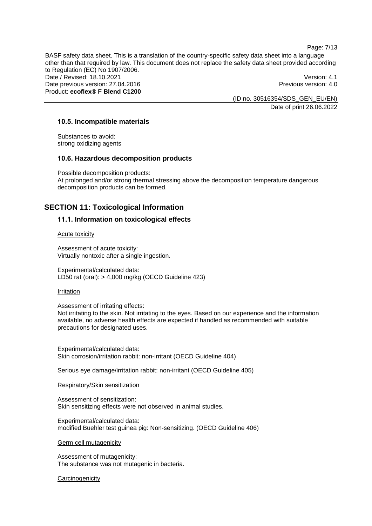Page: 7/13

BASF safety data sheet. This is a translation of the country-specific safety data sheet into a language other than that required by law. This document does not replace the safety data sheet provided according to Regulation (EC) No 1907/2006. Date / Revised: 18.10.2021 **Version: 4.1** Date previous version: 27.04.2016 **Previous version: 4.0** Previous version: 4.0 Product: **ecoflex® F Blend C1200**

(ID no. 30516354/SDS\_GEN\_EU/EN) Date of print 26.06.2022

#### **10.5. Incompatible materials**

Substances to avoid: strong oxidizing agents

#### **10.6. Hazardous decomposition products**

Possible decomposition products: At prolonged and/or strong thermal stressing above the decomposition temperature dangerous decomposition products can be formed.

## **SECTION 11: Toxicological Information**

#### **11.1. Information on toxicological effects**

#### Acute toxicity

Assessment of acute toxicity: Virtually nontoxic after a single ingestion.

Experimental/calculated data: LD50 rat (oral): > 4,000 mg/kg (OECD Guideline 423)

#### Irritation

#### Assessment of irritating effects:

Not irritating to the skin. Not irritating to the eyes. Based on our experience and the information available, no adverse health effects are expected if handled as recommended with suitable precautions for designated uses.

Experimental/calculated data: Skin corrosion/irritation rabbit: non-irritant (OECD Guideline 404)

Serious eye damage/irritation rabbit: non-irritant (OECD Guideline 405)

#### Respiratory/Skin sensitization

Assessment of sensitization: Skin sensitizing effects were not observed in animal studies.

Experimental/calculated data: modified Buehler test guinea pig: Non-sensitizing. (OECD Guideline 406)

#### Germ cell mutagenicity

Assessment of mutagenicity: The substance was not mutagenic in bacteria.

#### **Carcinogenicity**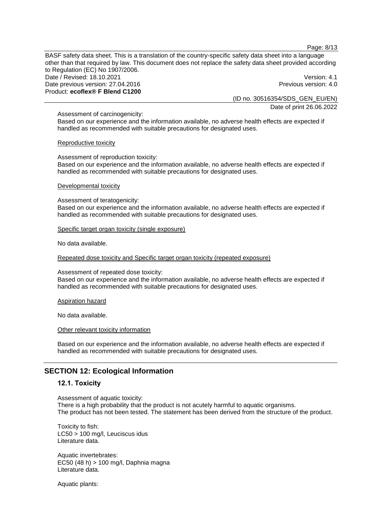Page: 8/13

BASF safety data sheet. This is a translation of the country-specific safety data sheet into a language other than that required by law. This document does not replace the safety data sheet provided according to Regulation (EC) No 1907/2006. Date / Revised: 18.10.2021 **Version: 4.1** Date previous version: 27.04.2016 **Previous version: 4.0** Previous version: 4.0 Product: **ecoflex® F Blend C1200**

(ID no. 30516354/SDS\_GEN\_EU/EN)

Date of print 26.06.2022

Assessment of carcinogenicity:

Based on our experience and the information available, no adverse health effects are expected if handled as recommended with suitable precautions for designated uses.

#### Reproductive toxicity

Assessment of reproduction toxicity: Based on our experience and the information available, no adverse health effects are expected if handled as recommended with suitable precautions for designated uses.

#### Developmental toxicity

Assessment of teratogenicity:

Based on our experience and the information available, no adverse health effects are expected if handled as recommended with suitable precautions for designated uses.

Specific target organ toxicity (single exposure)

No data available.

Repeated dose toxicity and Specific target organ toxicity (repeated exposure)

Assessment of repeated dose toxicity:

Based on our experience and the information available, no adverse health effects are expected if handled as recommended with suitable precautions for designated uses.

#### Aspiration hazard

No data available.

Other relevant toxicity information

Based on our experience and the information available, no adverse health effects are expected if handled as recommended with suitable precautions for designated uses.

## **SECTION 12: Ecological Information**

#### **12.1. Toxicity**

Assessment of aquatic toxicity: There is a high probability that the product is not acutely harmful to aquatic organisms. The product has not been tested. The statement has been derived from the structure of the product.

Toxicity to fish: LC50 > 100 mg/l, Leuciscus idus Literature data.

Aquatic invertebrates: EC50 (48 h) > 100 mg/l, Daphnia magna Literature data.

Aquatic plants: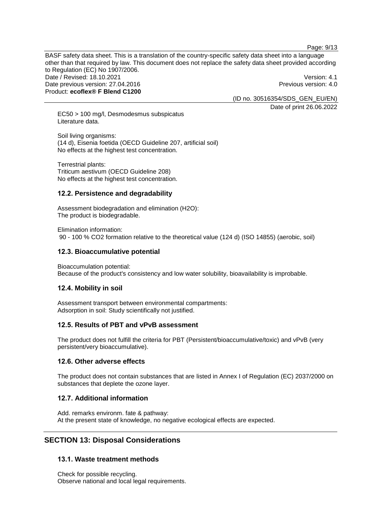Page: 9/13

BASF safety data sheet. This is a translation of the country-specific safety data sheet into a language other than that required by law. This document does not replace the safety data sheet provided according to Regulation (EC) No 1907/2006. Date / Revised: 18.10.2021 **Version: 4.1** Date previous version: 27.04.2016 **Previous version: 4.0** Previous version: 4.0 Product: **ecoflex® F Blend C1200**

(ID no. 30516354/SDS\_GEN\_EU/EN)

Date of print 26.06.2022

EC50 > 100 mg/l, Desmodesmus subspicatus Literature data.

Soil living organisms: (14 d), Eisenia foetida (OECD Guideline 207, artificial soil) No effects at the highest test concentration.

Terrestrial plants: Triticum aestivum (OECD Guideline 208) No effects at the highest test concentration.

## **12.2. Persistence and degradability**

Assessment biodegradation and elimination (H2O): The product is biodegradable.

Elimination information:

90 - 100 % CO2 formation relative to the theoretical value (124 d) (ISO 14855) (aerobic, soil)

## **12.3. Bioaccumulative potential**

Bioaccumulation potential: Because of the product's consistency and low water solubility, bioavailability is improbable.

## **12.4. Mobility in soil**

Assessment transport between environmental compartments: Adsorption in soil: Study scientifically not justified.

## **12.5. Results of PBT and vPvB assessment**

The product does not fulfill the criteria for PBT (Persistent/bioaccumulative/toxic) and vPvB (very persistent/very bioaccumulative).

## **12.6. Other adverse effects**

The product does not contain substances that are listed in Annex I of Regulation (EC) 2037/2000 on substances that deplete the ozone layer.

## **12.7. Additional information**

Add. remarks environm. fate & pathway: At the present state of knowledge, no negative ecological effects are expected.

## **SECTION 13: Disposal Considerations**

## **13.1. Waste treatment methods**

Check for possible recycling. Observe national and local legal requirements.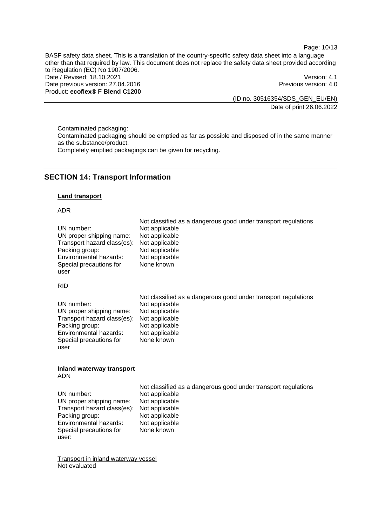Page: 10/13

BASF safety data sheet. This is a translation of the country-specific safety data sheet into a language other than that required by law. This document does not replace the safety data sheet provided according to Regulation (EC) No 1907/2006. Date / Revised: 18.10.2021 Version: 4.1 Date previous version: 27.04.2016 **Previous version: 4.0** Previous version: 4.0 Product: **ecoflex® F Blend C1200**

(ID no. 30516354/SDS\_GEN\_EU/EN) Date of print 26.06.2022

Contaminated packaging: Contaminated packaging should be emptied as far as possible and disposed of in the same manner as the substance/product. Completely emptied packagings can be given for recycling.

## **SECTION 14: Transport Information**

#### **Land transport**

#### ADR

| UN number:                  | Not classified as a dangerous good under transport regulations |
|-----------------------------|----------------------------------------------------------------|
| UN proper shipping name:    | Not applicable                                                 |
| Transport hazard class(es): | Not applicable                                                 |
| Packing group:              | Not applicable                                                 |
| Environmental hazards:      | Not applicable                                                 |
| Special precautions for     | Not applicable                                                 |
| user                        | None known                                                     |
| <b>RID</b>                  |                                                                |
| UN number:                  | Not classified as a dangerous good under transport regulations |
| UN proper shipping name:    | Not applicable                                                 |
| Transport hazard class(es): | Not applicable                                                 |
| Packing group:              | Not applicable                                                 |
| Environmental hazards:      | Not applicable                                                 |
| Special precautions for     | Not applicable                                                 |
| user                        | None known                                                     |

#### **Inland waterway transport** ADN

|                             | Not classified as a dangerous good under transport regulations |
|-----------------------------|----------------------------------------------------------------|
| UN number:                  | Not applicable                                                 |
| UN proper shipping name:    | Not applicable                                                 |
| Transport hazard class(es): | Not applicable                                                 |
| Packing group:              | Not applicable                                                 |
| Environmental hazards:      | Not applicable                                                 |
| Special precautions for     | None known                                                     |
| user:                       |                                                                |

Transport in inland waterway vessel Not evaluated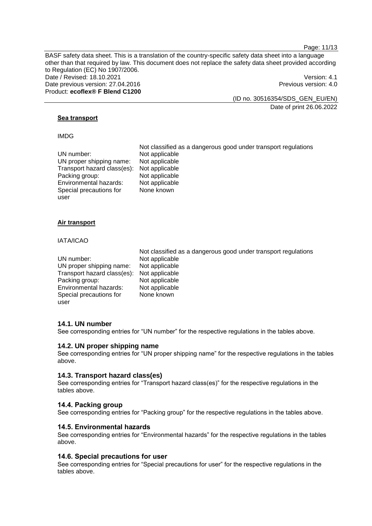Page: 11/13

BASF safety data sheet. This is a translation of the country-specific safety data sheet into a language other than that required by law. This document does not replace the safety data sheet provided according to Regulation (EC) No 1907/2006. Date / Revised: 18.10.2021 **Version: 4.1** Date previous version: 27.04.2016 **Previous version: 4.0** Previous version: 4.0 Product: **ecoflex® F Blend C1200**

(ID no. 30516354/SDS\_GEN\_EU/EN)

Date of print 26.06.2022

#### **Sea transport**

#### IMDG

|                             | Not classified as a dangerous good under transport regulations |
|-----------------------------|----------------------------------------------------------------|
| UN number:                  | Not applicable                                                 |
| UN proper shipping name:    | Not applicable                                                 |
| Transport hazard class(es): | Not applicable                                                 |
| Packing group:              | Not applicable                                                 |
| Environmental hazards:      | Not applicable                                                 |
| Special precautions for     | None known                                                     |
| user                        |                                                                |

#### **Air transport**

#### IATA/ICAO

|                                            | Not classified as a dangerous good under transport regulations |
|--------------------------------------------|----------------------------------------------------------------|
| UN number:                                 | Not applicable                                                 |
| UN proper shipping name:                   | Not applicable                                                 |
| Transport hazard class(es): Not applicable |                                                                |
| Packing group:                             | Not applicable                                                 |
| Environmental hazards:                     | Not applicable                                                 |
| Special precautions for                    | None known                                                     |
| user                                       |                                                                |

#### **14.1. UN number**

See corresponding entries for "UN number" for the respective regulations in the tables above.

#### **14.2. UN proper shipping name**

See corresponding entries for "UN proper shipping name" for the respective regulations in the tables above.

#### **14.3. Transport hazard class(es)**

See corresponding entries for "Transport hazard class(es)" for the respective regulations in the tables above.

#### **14.4. Packing group**

See corresponding entries for "Packing group" for the respective regulations in the tables above.

## **14.5. Environmental hazards**

See corresponding entries for "Environmental hazards" for the respective regulations in the tables above.

### **14.6. Special precautions for user**

See corresponding entries for "Special precautions for user" for the respective regulations in the tables above.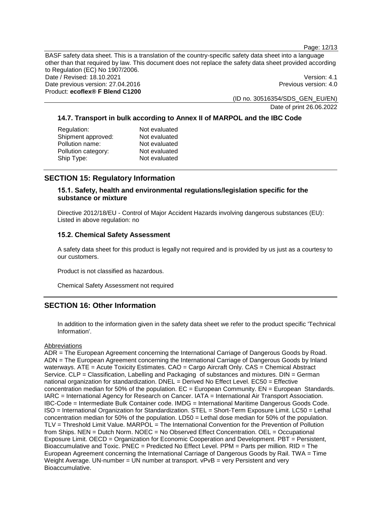Page: 12/13

BASF safety data sheet. This is a translation of the country-specific safety data sheet into a language other than that required by law. This document does not replace the safety data sheet provided according to Regulation (EC) No 1907/2006. Date / Revised: 18.10.2021 Version: 4.1 Date previous version: 27.04.2016 **Previous version: 4.0** Previous version: 4.0 Product: **ecoflex® F Blend C1200**

(ID no. 30516354/SDS\_GEN\_EU/EN)

Date of print 26.06.2022

## **14.7. Transport in bulk according to Annex II of MARPOL and the IBC Code**

| Regulation:         | Not evaluated |
|---------------------|---------------|
| Shipment approved:  | Not evaluated |
| Pollution name:     | Not evaluated |
| Pollution category: | Not evaluated |
| Ship Type:          | Not evaluated |
|                     |               |

## **SECTION 15: Regulatory Information**

## **15.1. Safety, health and environmental regulations/legislation specific for the substance or mixture**

Directive 2012/18/EU - Control of Major Accident Hazards involving dangerous substances (EU): Listed in above regulation: no

## **15.2. Chemical Safety Assessment**

A safety data sheet for this product is legally not required and is provided by us just as a courtesy to our customers.

Product is not classified as hazardous.

Chemical Safety Assessment not required

## **SECTION 16: Other Information**

In addition to the information given in the safety data sheet we refer to the product specific 'Technical Information'.

## **Abbreviations**

ADR = The European Agreement concerning the International Carriage of Dangerous Goods by Road. ADN = The European Agreement concerning the International Carriage of Dangerous Goods by Inland waterways. ATE = Acute Toxicity Estimates. CAO = Cargo Aircraft Only. CAS = Chemical Abstract Service. CLP = Classification, Labelling and Packaging of substances and mixtures. DIN = German national organization for standardization. DNEL = Derived No Effect Level. EC50 = Effective concentration median for 50% of the population.  $EC = European Community$ .  $EN = European Standards$ . IARC = International Agency for Research on Cancer. IATA = International Air Transport Association. IBC-Code = Intermediate Bulk Container code. IMDG = International Maritime Dangerous Goods Code. ISO = International Organization for Standardization. STEL = Short-Term Exposure Limit. LC50 = Lethal concentration median for 50% of the population. LD50 = Lethal dose median for 50% of the population. TLV = Threshold Limit Value. MARPOL = The International Convention for the Prevention of Pollution from Ships. NEN = Dutch Norm. NOEC = No Observed Effect Concentration. OEL = Occupational Exposure Limit. OECD = Organization for Economic Cooperation and Development. PBT = Persistent, Bioaccumulative and Toxic. PNEC = Predicted No Effect Level. PPM = Parts per million. RID = The European Agreement concerning the International Carriage of Dangerous Goods by Rail. TWA = Time Weight Average. UN-number = UN number at transport. vPvB = very Persistent and very Bioaccumulative.